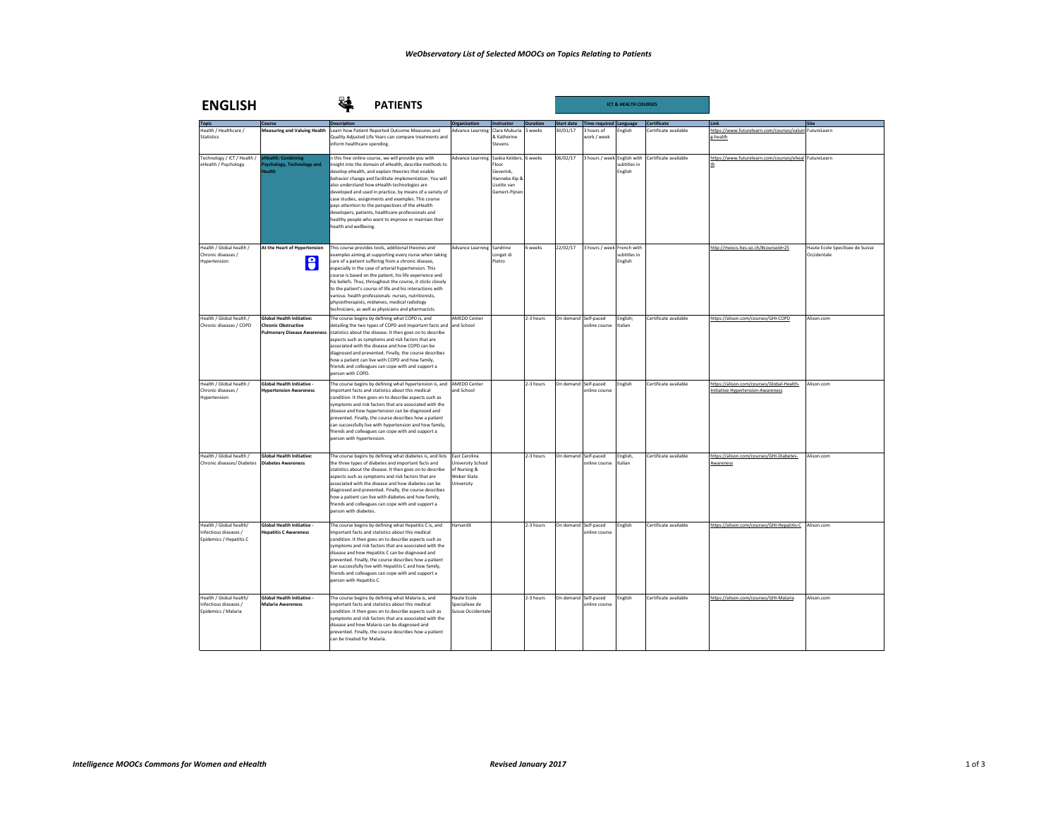| <b>ENGLISH</b>                                                              | <b>PATIENTS</b>                                                                                      |                                                                                                                                                                                                                                                                                                                                                                                                                                                                                                                                                                                               |                                                                                 |                                                                                                 |                 |                   |                                       | <b>ICT &amp; HEALTH COURSES</b> |                       |                                                                               |                                                 |
|-----------------------------------------------------------------------------|------------------------------------------------------------------------------------------------------|-----------------------------------------------------------------------------------------------------------------------------------------------------------------------------------------------------------------------------------------------------------------------------------------------------------------------------------------------------------------------------------------------------------------------------------------------------------------------------------------------------------------------------------------------------------------------------------------------|---------------------------------------------------------------------------------|-------------------------------------------------------------------------------------------------|-----------------|-------------------|---------------------------------------|---------------------------------|-----------------------|-------------------------------------------------------------------------------|-------------------------------------------------|
|                                                                             | Course                                                                                               | <b>Description</b>                                                                                                                                                                                                                                                                                                                                                                                                                                                                                                                                                                            | Organization                                                                    | Instructor                                                                                      | <b>Duration</b> | <b>Start date</b> | Time required Language                |                                 | <b>Certificate</b>    | Link                                                                          |                                                 |
| Health / Healthcare /<br><b>Statistics</b>                                  | <b>Measuring and Valuing Health</b>                                                                  | Learn how Patient Reported Outcome Measures and<br>Quality Adiusted Life Years can compare treatments and<br>inform healthcare spending.                                                                                                                                                                                                                                                                                                                                                                                                                                                      | Advance Learning                                                                | Clara Mukuria<br>& Katherine<br>Stevens                                                         | weeks           | 30/01/17          | hours of<br>vork / week               | nglish                          | ertificate available  | https://www.futurelearn.com/courses/valuin Futurel.earn<br>g-health           |                                                 |
| Technology / ICT / Health /<br>eHealth / Psychology                         | Health: Combining<br>sychology, Technology and<br>ealth                                              | h this free online course, we will provide you with<br>insight into the domain of eHealth, describe methods to<br>develop eHealth, and explain theories that enable<br>behavior change and facilitate implementation. You will<br>also understand how eHealth technologies are<br>developed and used in practice, by means of a variety of<br>case studies, assignments and examples. This course<br>pays attention to the perspectives of the eHealth<br>developers, patients, healthcare professionals and<br>healthy people who want to improve or maintain their<br>health and wellbeing. | <b>Advance Learning</b>                                                         | Saskia Kelders, 6 weeks<br>Floor<br>Sieverink.<br>Hanneke Kip 8<br>Lisette van<br>Gemert-Pijner |                 | 06/02/17          | 3 hours / week English with           | subtitles in<br>English         | Certificate available | https://www.futurelearn.com/courses/eheal FutureLearn<br>th                   |                                                 |
| Health / Global health /<br>Chronic diseases /<br>Hypertension              | At the Heart of Hypertension<br>8                                                                    | This course provides tools, additional theories and<br>examples aiming at supporting every nurse when taking<br>care of a patient suffering from a chronic disease.<br>especially in the case of arterial hypertension. This<br>course is based on the patient, his life experience and<br>his beliefs. Thus, throughout the course, it sticks closely<br>to the patient's course of life and his interactions with<br>various health professionals: nurses, nutritionists,<br>physiotherapists, midwives, medical radiology<br>technicians, as well as physicians and pharmacists.           | Advance Learning Sandrine                                                       | Longet di<br>Pietro                                                                             | weeks           | 22/02/17          | 3 hours / week French with            | subtitles in<br>English         |                       | http://moocs.hes-so.ch/#courseid=25                                           | Haute Ecole Specilisee de Suisse<br>Occidentale |
| Health / Global health /<br>Chronic diseases / COPD                         | <b>Global Health Initiative:</b><br><b>Chronic Obstructive</b><br><b>Pulmonary Disease Awareness</b> | The course begins by defining what COPD is, and<br>detailing the two types of COPD and important facts and<br>statistics about the disease. It then goes on to describe<br>spects such as symptoms and risk factors that are<br>associated with the disease and how COPD can be<br>diagnosed and prevented. Finally, the course describes<br>how a patient can live with COPD and how family,<br>friends and colleagues can cope with and support a<br>person with COPD                                                                                                                       | <b>AMEDD Center</b><br>and School                                               |                                                                                                 | 2-3 hours       |                   | On demand Self-paced<br>online course | English;<br>talian              | Certificate available | https://alison.com/courses/GHI-COPD                                           | Alison com                                      |
| Health / Global health /<br>Chronic diseases /<br>Hypertension              | Global Health Initiative -<br><b>Hypertension Awareness</b>                                          | The course begins by defining what hypertension is, and AMEDD Center<br>important facts and statistics about this medical<br>condition. It then goes on to describe aspects such as<br>symptoms and risk factors that are associated with the<br>disease and how hypertension can be diagnosed and<br>prevented. Finally, the course describes how a patient<br>can successfully live with hypertension and how family,<br>friends and colleagues can cope with and support a<br>person with hypertension.                                                                                    | and School                                                                      |                                                                                                 | 2-3 hours       |                   | On demand Self-paced<br>online course | English                         | Certificate available | https://alison.com/courses/Global-Health-<br>nitiative-Hypertension-Awareness | Alison.com                                      |
| Health / Global health /<br>Chronic diseases/ Diabetes                      | <b>Global Health Initiative:</b><br><b>Diabetes Awareness</b>                                        | The course begins by defining what diabetes is, and lists<br>the three types of diabetes and important facts and<br>statistics about the disease. It then goes on to describe<br>aspects such as symptoms and risk factors that are<br>associated with the disease and how diabetes can be<br>diagnosed and prevented. Finally, the course describes<br>how a patient can live with diabetes and how family,<br>friends and colleagues can cope with and support a<br>person with diabetes.                                                                                                   | East Carolina<br>University School<br>of Nursing &<br>Weber State<br>University |                                                                                                 | 2-3 hours       |                   | On demand Self-paced<br>online course | English,<br>Italian             | Certificate available | https://alison.com/courses/GHI-Diabetes-<br>Awareness                         | Alison.com                                      |
| Health / Global health/<br>Infectious diseases /<br>Epidemics / Hepatitis C | <b>Global Health Initiative -</b><br><b>Hepatitis C Awareness</b>                                    | The course begins by defining what Hepatitis C is, and<br>important facts and statistics about this medical<br>condition. It then goes on to describe aspects such as<br>wmptoms and risk factors that are associated with the<br>disease and how Hepatitis C can be diagnosed and<br>prevented. Finally, the course describes how a patient<br>can successfully live with Hepatitis C and how family,<br>friends and colleagues can cope with and support a<br>person with Hepatitis C.                                                                                                      | HarvardX                                                                        |                                                                                                 | 2-3 hours       |                   | On demand Self-paced<br>online course | <b>English</b>                  | Certificate available | https://alison.com/courses/GHI-Hepatitis-C Alison.com                         |                                                 |
| Health / Global health/<br>Infectious diseases /<br>Epidemics / Malaria     | Global Health Initiative -<br><b>Malaria Awareness</b>                                               | The course begins by defining what Malaria is, and<br>important facts and statistics about this medical<br>condition. It then goes on to describe aspects such as<br>symptoms and risk factors that are associated with the<br>disease and how Malaria can be diagnosed and<br>prevented. Finally, the course describes how a patient<br>can be treated for Malaria.                                                                                                                                                                                                                          | Haute Frole<br>Specialisee de<br>Suisse Occidentale                             |                                                                                                 | 2-3 hours       |                   | On demand Self-paced<br>nline course  | English                         | Certificate available | https://alison.com/courses/GHI-Malaria                                        | Alison com                                      |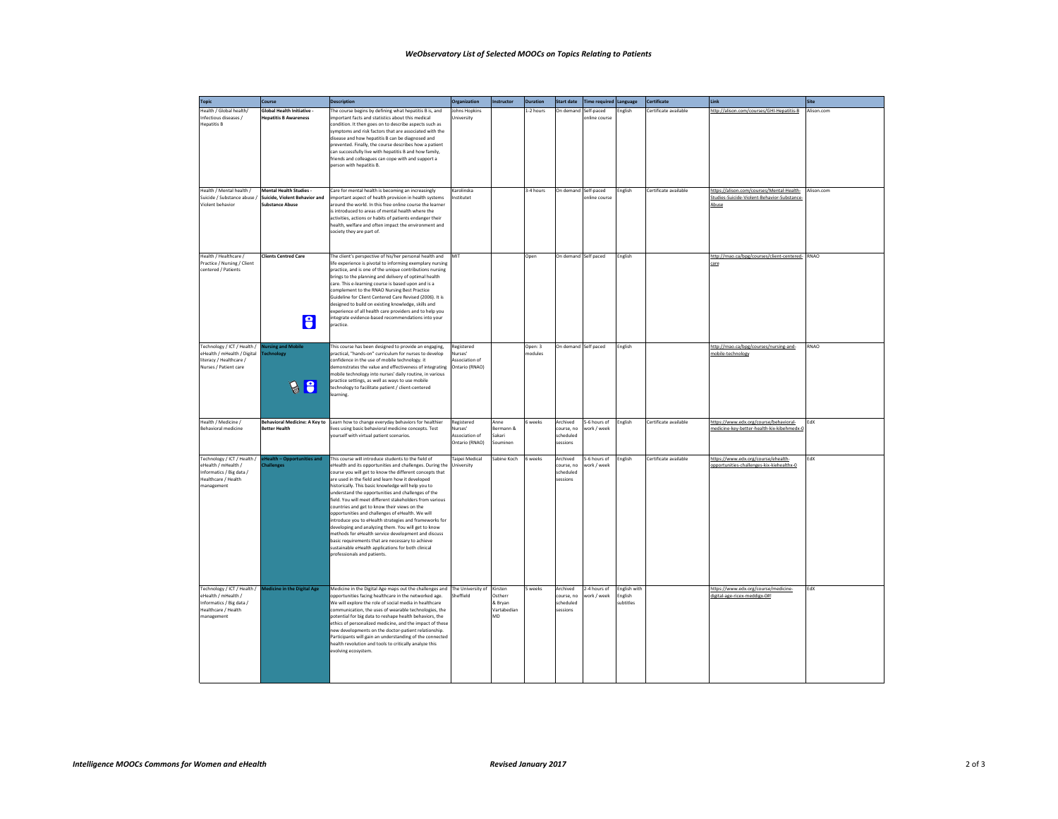## **WeObservatory List of Selected MOOCs on Topics Relating to Patients**

| <b>Topic</b>                                                                                                        | Course                                                                             | <b>Description</b>                                                                                                                                                                                                                                                                                                                                                                                                                                                                                                                                                                                                                                                                                                                                                                                                           | <b>Organization</b>                                       | Instructor                                         | <b>Duration</b>    | Start date                                      | Time required Language      |                                             | <b>Certificate</b>    | Link                                                                                              | Site        |
|---------------------------------------------------------------------------------------------------------------------|------------------------------------------------------------------------------------|------------------------------------------------------------------------------------------------------------------------------------------------------------------------------------------------------------------------------------------------------------------------------------------------------------------------------------------------------------------------------------------------------------------------------------------------------------------------------------------------------------------------------------------------------------------------------------------------------------------------------------------------------------------------------------------------------------------------------------------------------------------------------------------------------------------------------|-----------------------------------------------------------|----------------------------------------------------|--------------------|-------------------------------------------------|-----------------------------|---------------------------------------------|-----------------------|---------------------------------------------------------------------------------------------------|-------------|
| Health / Global health/<br>Infectious diseases /<br><b>Hepatitis B</b>                                              | <b>Global Health Initiative -</b><br><b>Hepatitis B Awareness</b>                  | The course begins by defining what hepatitis B is, and<br>important facts and statistics about this medical<br>condition. It then goes on to describe aspects such as<br>symptoms and risk factors that are associated with the<br>disease and how hepatitis B can be diagnosed and<br>prevented. Finally, the course describes how a patient<br>can successfully live with hepatitis B and how family,<br>friends and colleagues can cope with and support a<br>person with hepatitis B.                                                                                                                                                                                                                                                                                                                                    | Johns Hopkins<br>University                               |                                                    | 1-2 hours          | In demand                                       | Self-paced<br>online course | English                                     | Certificate available | http://alison.com/courses/GHI-Hepatitis-B                                                         | Alison.com  |
| Health / Mental health /<br>Suicide / Substance abuse /<br>Violent behavior                                         | Mental Health Studies -<br>Suicide, Violent Behavior and<br><b>Substance Abuse</b> | Care for mental health is becoming an increasingly<br>mportant aspect of health provision in health systems<br>round the world. In this free online course the learner<br>is introduced to areas of mental health where the<br>activities, actions or habits of patients endanger their<br>health, welfare and often impact the environment and<br>society they are part of.                                                                                                                                                                                                                                                                                                                                                                                                                                                 | Karolinska<br>Institutet                                  |                                                    | 3-4 hours          | On demand Self-paced                            | online course               | English                                     | Certificate available | https://alison.com/courses/Mental-Health-<br>Studies-Suicide-Violent-Behavior-Substance-<br>Abuse | Alison.com  |
| Health / Healthcare /<br>Practice / Nursing / Client<br>centered / Patients                                         | <b>Clients Centred Care</b><br>l A                                                 | The client's perspective of his/her personal health and<br>life experience is pivotal to informing exemplary nursing<br>practice, and is one of the unique contributions nursing<br>brings to the planning and delivery of optimal health<br>care. This e-learning course is based upon and is a<br>complement to the RNAO Nursing Best Practice<br>Guideline for Client Centered Care Revised (2006). It is<br>designed to build on existing knowledge, skills and<br>experience of all health care providers and to help you<br>ntegrate evidence-based recommendations into your<br>practice.                                                                                                                                                                                                                             | MIT                                                       |                                                    | Open               | On demand Self paced                            |                             | <b>Fnglish</b>                              |                       | http://rnao.ca/bpg/courses/client-centered- RNAO<br>care                                          |             |
| Technology / ICT / Health /<br>eHealth / mHealth / Digital<br>literacy / Healthcare /<br>Nurses / Patient care      | <b>lursing and Mobile</b><br>echnology<br>la                                       | This course has been designed to provide an engaging,<br>practical, "hands-on" curriculum for nurses to develop<br>confidence in the use of mobile technology, it<br>demonstrates the value and effectiveness of integrating<br>mobile technology into nurses' daily routine, in various<br>practice settings, as well as ways to use mobile<br>technology to facilitate patient / client-centered<br>earning.                                                                                                                                                                                                                                                                                                                                                                                                               | Registered<br>Nurses'<br>Association of<br>Ontario (RNAO) |                                                    | Open: 3<br>nodules | On demand Self paced                            |                             | English                                     |                       | http://rnao.ca/bpg/courses/nursing-and-<br>nobile-technology                                      | <b>RNAO</b> |
| Health / Medicine /<br><b>Behavioral medicine</b>                                                                   | <b>Better Health</b>                                                               | Behavioral Medicine: A Key to Learn how to change everyday behaviors for healthier<br>lives using basic behavioral medicine concepts. Test<br>ourself with virtual patient scenarios.                                                                                                                                                                                                                                                                                                                                                                                                                                                                                                                                                                                                                                        | Registered<br>Nurses'<br>Association of<br>Ontario (RNAO) | Anne<br>Bermann &<br>Sakari<br>Souminer            | 6 weeks            | Archived<br>course, no<br>scheduled<br>sessions | 5-6 hours of<br>vork / week | English                                     | Certificate available | https://www.edx.org/course/behavioral-<br>medicine-key-better-health-kix-kibehmedx-0              | EdX         |
| Technology / ICT / Health /<br>eHealth / mHealth /<br>Informatics / Big data /<br>Healthcare / Health<br>management | lealth - Opportunities and<br>hallenges                                            | This course will introduce students to the field of<br>eHealth and its opportunities and challenges. During the<br>course you will get to know the different concepts that<br>are used in the field and learn how it developed<br>historically. This basic knowledge will help you to<br>understand the opportunities and challenges of the<br>field. You will meet different stakeholders from various<br>countries and get to know their views on the<br>opportunities and challenges of eHealth. We will<br>introduce you to eHealth strategies and frameworks for<br>developing and analyzing them. You will get to know<br>methods for eHealth service development and discuss<br>basic requirements that are necessary to achieve<br>sustainable eHealth applications for both clinical<br>professionals and patients. | Tainei Medical<br>University                              | Sahine Koch                                        | 6 weeks            | Archived<br>course, no<br>scheduled<br>sessions | 5-6 hours of<br>vork / week | English                                     | Certificate available | https://www.edx.org/course/ehealth-<br>opportunities-challenges-kix-kiehealthx-0                  | EdY         |
| Technology / ICT / Health /<br>eHealth / mHealth /<br>Informatics / Big data /<br>Healthcare / Health<br>management | Medicine in the Digital Age                                                        | Medicine in the Digital Age maps out the challenges and The University of<br>opportunities facing healthcare in the networked age.<br>We will explore the role of social media in healthcare<br>communication, the uses of wearable technologies, the<br>potential for big data to reshape health behaviors, the<br>ethics of personalized medicine, and the impact of these<br>new developments on the doctor-patient relationship.<br>Participants will gain an understanding of the connected<br>health revolution and tools to critically analyze this<br>volving ecosystem.                                                                                                                                                                                                                                             | Sheffield                                                 | Kirsten<br>Ostherr<br>& Brvan<br>Vartabedian<br>MD | 5 weeks            | Archived<br>course, no<br>scheduled<br>sessions | 2-4 hours of<br>vork / week | <b>English with</b><br>English<br>subtitles |                       | https://www.edx.org/course/medicine-<br>digital-age-ricex-meddigx-0#!                             | FdX         |